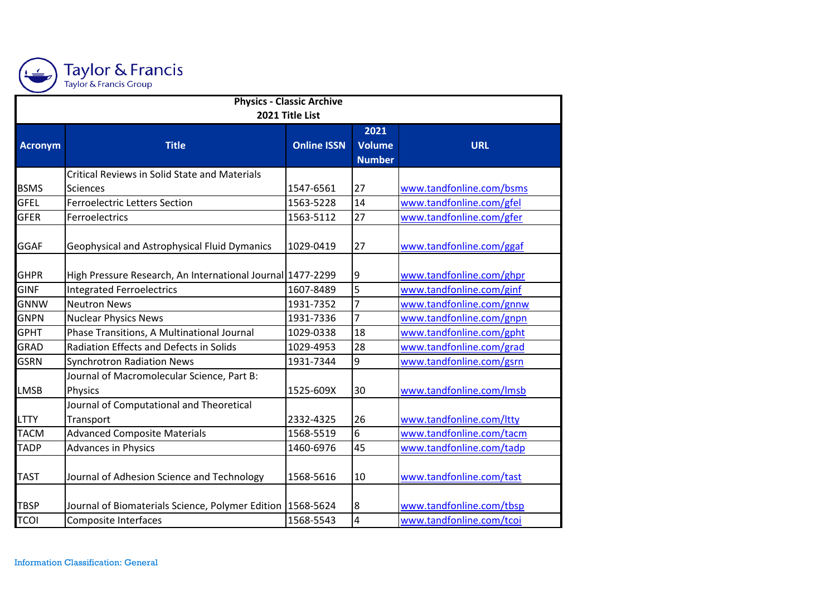

| <b>Physics - Classic Archive</b><br>2021 Title List |                                                                  |           |                |                          |  |  |  |
|-----------------------------------------------------|------------------------------------------------------------------|-----------|----------------|--------------------------|--|--|--|
|                                                     |                                                                  |           |                |                          |  |  |  |
| <b>BSMS</b>                                         | <b>Critical Reviews in Solid State and Materials</b><br>Sciences | 1547-6561 | 27             | www.tandfonline.com/bsms |  |  |  |
| <b>GFEL</b>                                         | <b>Ferroelectric Letters Section</b>                             | 1563-5228 | 14             | www.tandfonline.com/gfel |  |  |  |
| <b>GFER</b>                                         | Ferroelectrics                                                   | 1563-5112 | 27             | www.tandfonline.com/gfer |  |  |  |
| GGAF                                                | Geophysical and Astrophysical Fluid Dymanics                     | 1029-0419 | 27             | www.tandfonline.com/ggaf |  |  |  |
| <b>GHPR</b>                                         | High Pressure Research, An International Journal 1477-2299       |           | 9              | www.tandfonline.com/ghpr |  |  |  |
| <b>GINF</b>                                         | <b>Integrated Ferroelectrics</b>                                 | 1607-8489 | 5              | www.tandfonline.com/ginf |  |  |  |
| <b>GNNW</b>                                         | <b>Neutron News</b>                                              | 1931-7352 | $\overline{7}$ | www.tandfonline.com/gnnw |  |  |  |
| <b>GNPN</b>                                         | <b>Nuclear Physics News</b>                                      | 1931-7336 | $\overline{7}$ | www.tandfonline.com/gnpn |  |  |  |
| <b>GPHT</b>                                         | Phase Transitions, A Multinational Journal                       | 1029-0338 | 18             | www.tandfonline.com/gpht |  |  |  |
| <b>GRAD</b>                                         | Radiation Effects and Defects in Solids                          | 1029-4953 | 28             | www.tandfonline.com/grad |  |  |  |
| <b>GSRN</b>                                         | <b>Synchrotron Radiation News</b>                                | 1931-7344 | 9              | www.tandfonline.com/gsrn |  |  |  |
| <b>LMSB</b>                                         | Journal of Macromolecular Science, Part B:<br>Physics            | 1525-609X | 30             | www.tandfonline.com/lmsb |  |  |  |
| <b>LTTY</b>                                         | Journal of Computational and Theoretical<br>Transport            | 2332-4325 | 26             | www.tandfonline.com/ltty |  |  |  |
| <b>TACM</b>                                         | <b>Advanced Composite Materials</b>                              | 1568-5519 | 6              | www.tandfonline.com/tacm |  |  |  |
| <b>TADP</b>                                         | <b>Advances in Physics</b>                                       | 1460-6976 | 45             | www.tandfonline.com/tadp |  |  |  |
| <b>TAST</b>                                         | Journal of Adhesion Science and Technology                       | 1568-5616 | 10             | www.tandfonline.com/tast |  |  |  |
| <b>TBSP</b>                                         | Journal of Biomaterials Science, Polymer Edition   1568-5624     |           | 8              | www.tandfonline.com/tbsp |  |  |  |
| <b>TCOI</b>                                         | <b>Composite Interfaces</b>                                      | 1568-5543 | 4              | www.tandfonline.com/tcoi |  |  |  |